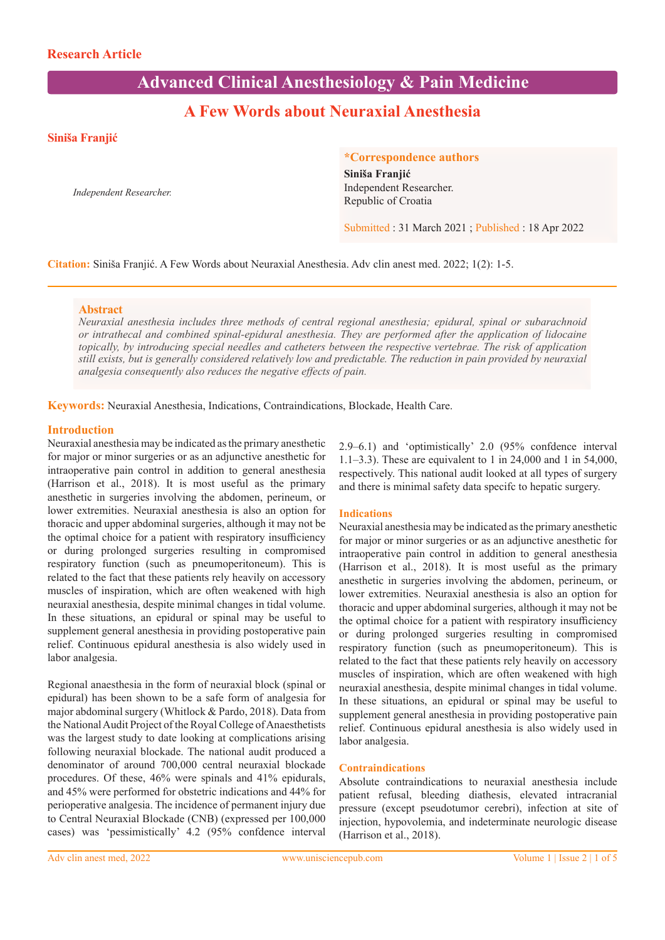# **Advanced Clinical Anesthesiology & Pain Medicine**

# **A Few Words about Neuraxial Anesthesia**

# **Siniša Franjić**

*Independent Researcher.*

## **\*Correspondence authors**

**Siniša Franjić** Independent Researcher. Republic of Croatia

Submitted : 31 March 2021 ; Published : 18 Apr 2022

**Citation:** Siniša Franjić. A Few Words about Neuraxial Anesthesia. Adv clin anest med. 2022; 1(2): 1-5.

## **Abstract**

*Neuraxial anesthesia includes three methods of central regional anesthesia; epidural, spinal or subarachnoid or intrathecal and combined spinal-epidural anesthesia. They are performed after the application of lidocaine topically, by introducing special needles and catheters between the respective vertebrae. The risk of application still exists, but is generally considered relatively low and predictable. The reduction in pain provided by neuraxial analgesia consequently also reduces the negative effects of pain.*

**Keywords:** Neuraxial Anesthesia, Indications, Contraindications, Blockade, Health Care.

## **Introduction**

Neuraxial anesthesia may be indicated as the primary anesthetic for major or minor surgeries or as an adjunctive anesthetic for intraoperative pain control in addition to general anesthesia (Harrison et al., 2018). It is most useful as the primary anesthetic in surgeries involving the abdomen, perineum, or lower extremities. Neuraxial anesthesia is also an option for thoracic and upper abdominal surgeries, although it may not be the optimal choice for a patient with respiratory insufficiency or during prolonged surgeries resulting in compromised respiratory function (such as pneumoperitoneum). This is related to the fact that these patients rely heavily on accessory muscles of inspiration, which are often weakened with high neuraxial anesthesia, despite minimal changes in tidal volume. In these situations, an epidural or spinal may be useful to supplement general anesthesia in providing postoperative pain relief. Continuous epidural anesthesia is also widely used in labor analgesia.

Regional anaesthesia in the form of neuraxial block (spinal or epidural) has been shown to be a safe form of analgesia for major abdominal surgery (Whitlock & Pardo, 2018). Data from the National Audit Project of the Royal College of Anaesthetists was the largest study to date looking at complications arising following neuraxial blockade. The national audit produced a denominator of around 700,000 central neuraxial blockade procedures. Of these, 46% were spinals and 41% epidurals, and 45% were performed for obstetric indications and 44% for perioperative analgesia. The incidence of permanent injury due to Central Neuraxial Blockade (CNB) (expressed per 100,000 cases) was 'pessimistically' 4.2 (95% confdence interval

2.9–6.1) and 'optimistically' 2.0 (95% confdence interval 1.1–3.3). These are equivalent to 1 in 24,000 and 1 in 54,000, respectively. This national audit looked at all types of surgery and there is minimal safety data specifc to hepatic surgery.

#### **Indications**

Neuraxial anesthesia may be indicated as the primary anesthetic for major or minor surgeries or as an adjunctive anesthetic for intraoperative pain control in addition to general anesthesia (Harrison et al., 2018). It is most useful as the primary anesthetic in surgeries involving the abdomen, perineum, or lower extremities. Neuraxial anesthesia is also an option for thoracic and upper abdominal surgeries, although it may not be the optimal choice for a patient with respiratory insufficiency or during prolonged surgeries resulting in compromised respiratory function (such as pneumoperitoneum). This is related to the fact that these patients rely heavily on accessory muscles of inspiration, which are often weakened with high neuraxial anesthesia, despite minimal changes in tidal volume. In these situations, an epidural or spinal may be useful to supplement general anesthesia in providing postoperative pain relief. Continuous epidural anesthesia is also widely used in labor analgesia.

## **Contraindications**

Absolute contraindications to neuraxial anesthesia include patient refusal, bleeding diathesis, elevated intracranial pressure (except pseudotumor cerebri), infection at site of injection, hypovolemia, and indeterminate neurologic disease (Harrison et al., 2018).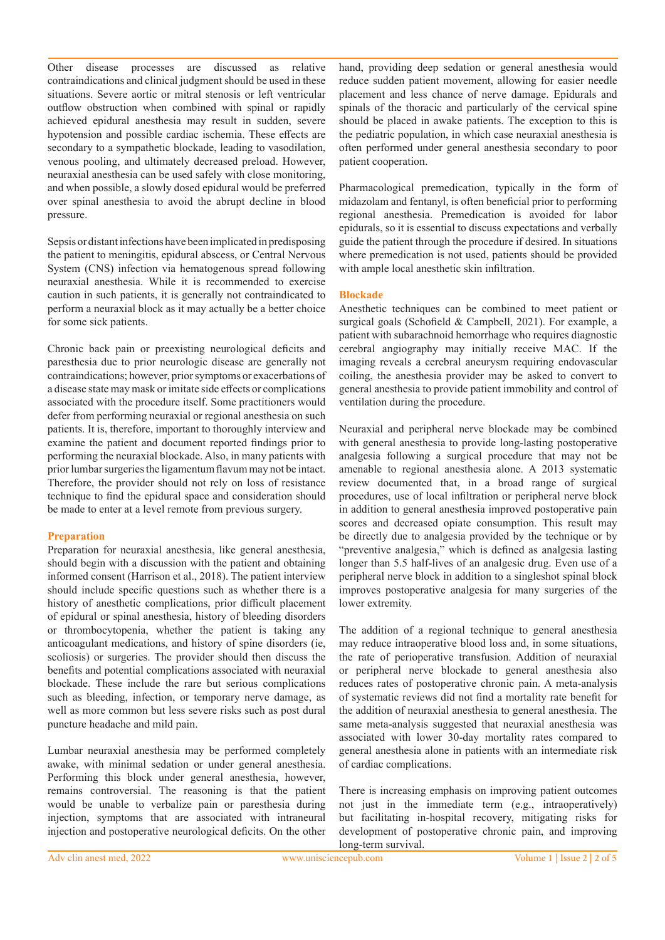Other disease processes are discussed as relative contraindications and clinical judgment should be used in these situations. Severe aortic or mitral stenosis or left ventricular outflow obstruction when combined with spinal or rapidly achieved epidural anesthesia may result in sudden, severe hypotension and possible cardiac ischemia. These effects are secondary to a sympathetic blockade, leading to vasodilation, venous pooling, and ultimately decreased preload. However, neuraxial anesthesia can be used safely with close monitoring, and when possible, a slowly dosed epidural would be preferred over spinal anesthesia to avoid the abrupt decline in blood pressure.

Sepsis or distant infections have been implicated in predisposing the patient to meningitis, epidural abscess, or Central Nervous System (CNS) infection via hematogenous spread following neuraxial anesthesia. While it is recommended to exercise caution in such patients, it is generally not contraindicated to perform a neuraxial block as it may actually be a better choice for some sick patients.

Chronic back pain or preexisting neurological deficits and paresthesia due to prior neurologic disease are generally not contraindications; however, prior symptoms or exacerbations of a disease state may mask or imitate side effects or complications associated with the procedure itself. Some practitioners would defer from performing neuraxial or regional anesthesia on such patients. It is, therefore, important to thoroughly interview and examine the patient and document reported findings prior to performing the neuraxial blockade. Also, in many patients with prior lumbar surgeries the ligamentum flavum may not be intact. Therefore, the provider should not rely on loss of resistance technique to find the epidural space and consideration should be made to enter at a level remote from previous surgery.

#### **Preparation**

Preparation for neuraxial anesthesia, like general anesthesia, should begin with a discussion with the patient and obtaining informed consent (Harrison et al., 2018). The patient interview should include specific questions such as whether there is a history of anesthetic complications, prior difficult placement of epidural or spinal anesthesia, history of bleeding disorders or thrombocytopenia, whether the patient is taking any anticoagulant medications, and history of spine disorders (ie, scoliosis) or surgeries. The provider should then discuss the benefits and potential complications associated with neuraxial blockade. These include the rare but serious complications such as bleeding, infection, or temporary nerve damage, as well as more common but less severe risks such as post dural puncture headache and mild pain.

Lumbar neuraxial anesthesia may be performed completely awake, with minimal sedation or under general anesthesia. Performing this block under general anesthesia, however, remains controversial. The reasoning is that the patient would be unable to verbalize pain or paresthesia during injection, symptoms that are associated with intraneural injection and postoperative neurological deficits. On the other

hand, providing deep sedation or general anesthesia would reduce sudden patient movement, allowing for easier needle placement and less chance of nerve damage. Epidurals and spinals of the thoracic and particularly of the cervical spine should be placed in awake patients. The exception to this is the pediatric population, in which case neuraxial anesthesia is often performed under general anesthesia secondary to poor patient cooperation.

Pharmacological premedication, typically in the form of midazolam and fentanyl, is often beneficial prior to performing regional anesthesia. Premedication is avoided for labor epidurals, so it is essential to discuss expectations and verbally guide the patient through the procedure if desired. In situations where premedication is not used, patients should be provided with ample local anesthetic skin infiltration.

# **Blockade**

Anesthetic techniques can be combined to meet patient or surgical goals (Schofield & Campbell, 2021). For example, a patient with subarachnoid hemorrhage who requires diagnostic cerebral angiography may initially receive MAC. If the imaging reveals a cerebral aneurysm requiring endovascular coiling, the anesthesia provider may be asked to convert to general anesthesia to provide patient immobility and control of ventilation during the procedure.

Neuraxial and peripheral nerve blockade may be combined with general anesthesia to provide long-lasting postoperative analgesia following a surgical procedure that may not be amenable to regional anesthesia alone. A 2013 systematic review documented that, in a broad range of surgical procedures, use of local infiltration or peripheral nerve block in addition to general anesthesia improved postoperative pain scores and decreased opiate consumption. This result may be directly due to analgesia provided by the technique or by "preventive analgesia," which is defined as analgesia lasting longer than 5.5 half-lives of an analgesic drug. Even use of a peripheral nerve block in addition to a singleshot spinal block improves postoperative analgesia for many surgeries of the lower extremity.

The addition of a regional technique to general anesthesia may reduce intraoperative blood loss and, in some situations, the rate of perioperative transfusion. Addition of neuraxial or peripheral nerve blockade to general anesthesia also reduces rates of postoperative chronic pain. A meta-analysis of systematic reviews did not find a mortality rate benefit for the addition of neuraxial anesthesia to general anesthesia. The same meta-analysis suggested that neuraxial anesthesia was associated with lower 30-day mortality rates compared to general anesthesia alone in patients with an intermediate risk of cardiac complications.

There is increasing emphasis on improving patient outcomes not just in the immediate term (e.g., intraoperatively) but facilitating in-hospital recovery, mitigating risks for development of postoperative chronic pain, and improving long-term survival.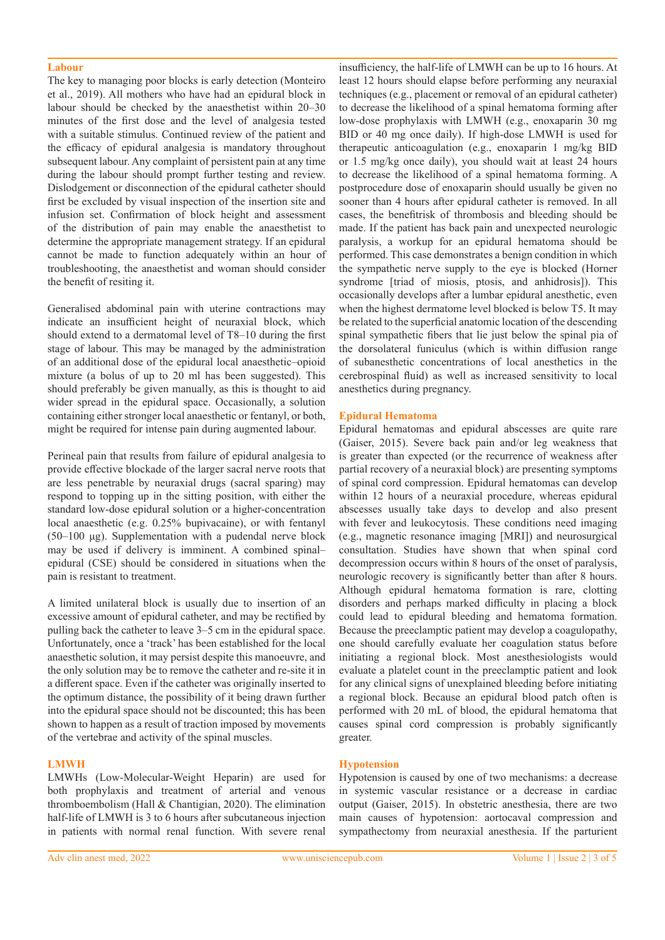#### **Labour**

The key to managing poor blocks is early detection (Monteiro et al., 2019). All mothers who have had an epidural block in labour should be checked by the anaesthetist within 20–30 minutes of the first dose and the level of analgesia tested with a suitable stimulus. Continued review of the patient and the efficacy of epidural analgesia is mandatory throughout subsequent labour. Any complaint of persistent pain at any time during the labour should prompt further testing and review. Dislodgement or disconnection of the epidural catheter should first be excluded by visual inspection of the insertion site and infusion set. Confirmation of block height and assessment of the distribution of pain may enable the anaesthetist to determine the appropriate management strategy. If an epidural cannot be made to function adequately within an hour of troubleshooting, the anaesthetist and woman should consider the benefit of resiting it.

Generalised abdominal pain with uterine contractions may indicate an insufficient height of neuraxial block, which should extend to a dermatomal level of T8–10 during the first stage of labour. This may be managed by the administration of an additional dose of the epidural local anaesthetic–opioid mixture (a bolus of up to 20 ml has been suggested). This should preferably be given manually, as this is thought to aid wider spread in the epidural space. Occasionally, a solution containing either stronger local anaesthetic or fentanyl, or both, might be required for intense pain during augmented labour.

Perineal pain that results from failure of epidural analgesia to provide effective blockade of the larger sacral nerve roots that are less penetrable by neuraxial drugs (sacral sparing) may respond to topping up in the sitting position, with either the standard low-dose epidural solution or a higher-concentration local anaesthetic (e.g. 0.25% bupivacaine), or with fentanyl (50–100 μg). Supplementation with a pudendal nerve block may be used if delivery is imminent. A combined spinal– epidural (CSE) should be considered in situations when the pain is resistant to treatment.

A limited unilateral block is usually due to insertion of an excessive amount of epidural catheter, and may be rectified by pulling back the catheter to leave 3–5 cm in the epidural space. Unfortunately, once a 'track' has been established for the local anaesthetic solution, it may persist despite this manoeuvre, and the only solution may be to remove the catheter and re-site it in a different space. Even if the catheter was originally inserted to the optimum distance, the possibility of it being drawn further into the epidural space should not be discounted; this has been shown to happen as a result of traction imposed by movements of the vertebrae and activity of the spinal muscles.

#### **LMWH**

LMWHs (Low-Molecular-Weight Heparin) are used for both prophylaxis and treatment of arterial and venous thromboembolism (Hall & Chantigian, 2020). The elimination half-life of LMWH is 3 to 6 hours after subcutaneous injection in patients with normal renal function. With severe renal

insufficiency, the half-life of LMWH can be up to 16 hours. At least 12 hours should elapse before performing any neuraxial techniques (e.g., placement or removal of an epidural catheter) to decrease the likelihood of a spinal hematoma forming after low-dose prophylaxis with LMWH (e.g., enoxaparin 30 mg BID or 40 mg once daily). If high-dose LMWH is used for therapeutic anticoagulation (e.g., enoxaparin 1 mg/kg BID or 1.5 mg/kg once daily), you should wait at least 24 hours to decrease the likelihood of a spinal hematoma forming. A postprocedure dose of enoxaparin should usually be given no sooner than 4 hours after epidural catheter is removed. In all cases, the benefitrisk of thrombosis and bleeding should be made. If the patient has back pain and unexpected neurologic paralysis, a workup for an epidural hematoma should be performed. This case demonstrates a benign condition in which the sympathetic nerve supply to the eye is blocked (Horner syndrome [triad of miosis, ptosis, and anhidrosis]). This occasionally develops after a lumbar epidural anesthetic, even when the highest dermatome level blocked is below T5. It may be related to the superficial anatomic location of the descending spinal sympathetic fibers that lie just below the spinal pia of the dorsolateral funiculus (which is within diffusion range of subanesthetic concentrations of local anesthetics in the cerebrospinal fluid) as well as increased sensitivity to local anesthetics during pregnancy.

#### **Epidural Hematoma**

Epidural hematomas and epidural abscesses are quite rare (Gaiser, 2015). Severe back pain and/or leg weakness that is greater than expected (or the recurrence of weakness after partial recovery of a neuraxial block) are presenting symptoms of spinal cord compression. Epidural hematomas can develop within 12 hours of a neuraxial procedure, whereas epidural abscesses usually take days to develop and also present with fever and leukocytosis. These conditions need imaging (e.g., magnetic resonance imaging [MRI]) and neurosurgical consultation. Studies have shown that when spinal cord decompression occurs within 8 hours of the onset of paralysis, neurologic recovery is significantly better than after 8 hours. Although epidural hematoma formation is rare, clotting disorders and perhaps marked difficulty in placing a block could lead to epidural bleeding and hematoma formation. Because the preeclamptic patient may develop a coagulopathy, one should carefully evaluate her coagulation status before initiating a regional block. Most anesthesiologists would evaluate a platelet count in the preeclamptic patient and look for any clinical signs of unexplained bleeding before initiating a regional block. Because an epidural blood patch often is performed with 20 mL of blood, the epidural hematoma that causes spinal cord compression is probably significantly greater.

## **Hypotension**

Hypotension is caused by one of two mechanisms: a decrease in systemic vascular resistance or a decrease in cardiac output (Gaiser, 2015). In obstetric anesthesia, there are two main causes of hypotension: aortocaval compression and sympathectomy from neuraxial anesthesia. If the parturient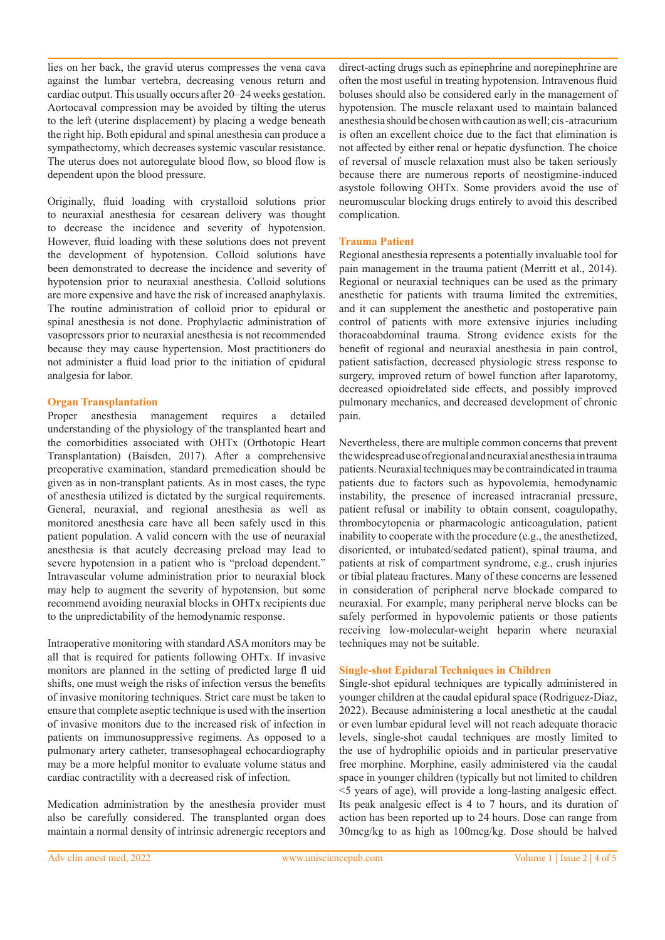lies on her back, the gravid uterus compresses the vena cava against the lumbar vertebra, decreasing venous return and cardiac output. This usually occurs after 20–24 weeks gestation. Aortocaval compression may be avoided by tilting the uterus to the left (uterine displacement) by placing a wedge beneath the right hip. Both epidural and spinal anesthesia can produce a sympathectomy, which decreases systemic vascular resistance. The uterus does not autoregulate blood flow, so blood flow is dependent upon the blood pressure.

Originally, fluid loading with crystalloid solutions prior to neuraxial anesthesia for cesarean delivery was thought to decrease the incidence and severity of hypotension. However, fluid loading with these solutions does not prevent the development of hypotension. Colloid solutions have been demonstrated to decrease the incidence and severity of hypotension prior to neuraxial anesthesia. Colloid solutions are more expensive and have the risk of increased anaphylaxis. The routine administration of colloid prior to epidural or spinal anesthesia is not done. Prophylactic administration of vasopressors prior to neuraxial anesthesia is not recommended because they may cause hypertension. Most practitioners do not administer a fluid load prior to the initiation of epidural analgesia for labor.

# **Organ Transplantation**

Proper anesthesia management requires a detailed understanding of the physiology of the transplanted heart and the comorbidities associated with OHTx (Orthotopic Heart Transplantation) (Baisden, 2017). After a comprehensive preoperative examination, standard premedication should be given as in non-transplant patients. As in most cases, the type of anesthesia utilized is dictated by the surgical requirements. General, neuraxial, and regional anesthesia as well as monitored anesthesia care have all been safely used in this patient population. A valid concern with the use of neuraxial anesthesia is that acutely decreasing preload may lead to severe hypotension in a patient who is "preload dependent." Intravascular volume administration prior to neuraxial block may help to augment the severity of hypotension, but some recommend avoiding neuraxial blocks in OHTx recipients due to the unpredictability of the hemodynamic response.

Intraoperative monitoring with standard ASA monitors may be all that is required for patients following OHTx. If invasive monitors are planned in the setting of predicted large fl uid shifts, one must weigh the risks of infection versus the benefits of invasive monitoring techniques. Strict care must be taken to ensure that complete aseptic technique is used with the insertion of invasive monitors due to the increased risk of infection in patients on immunosuppressive regimens. As opposed to a pulmonary artery catheter, transesophageal echocardiography may be a more helpful monitor to evaluate volume status and cardiac contractility with a decreased risk of infection.

Medication administration by the anesthesia provider must also be carefully considered. The transplanted organ does maintain a normal density of intrinsic adrenergic receptors and

direct-acting drugs such as epinephrine and norepinephrine are often the most useful in treating hypotension. Intravenous fluid boluses should also be considered early in the management of hypotension. The muscle relaxant used to maintain balanced anesthesia should be chosen with caution as well; cis -atracurium is often an excellent choice due to the fact that elimination is not affected by either renal or hepatic dysfunction. The choice of reversal of muscle relaxation must also be taken seriously because there are numerous reports of neostigmine-induced asystole following OHTx. Some providers avoid the use of neuromuscular blocking drugs entirely to avoid this described complication.

# **Trauma Patient**

Regional anesthesia represents a potentially invaluable tool for pain management in the trauma patient (Merritt et al., 2014). Regional or neuraxial techniques can be used as the primary anesthetic for patients with trauma limited the extremities, and it can supplement the anesthetic and postoperative pain control of patients with more extensive injuries including thoracoabdominal trauma. Strong evidence exists for the benefit of regional and neuraxial anesthesia in pain control, patient satisfaction, decreased physiologic stress response to surgery, improved return of bowel function after laparotomy, decreased opioidrelated side effects, and possibly improved pulmonary mechanics, and decreased development of chronic pain.

Nevertheless, there are multiple common concerns that prevent the widespread use of regional and neuraxial anesthesia in trauma patients. Neuraxial techniques may be contraindicated in trauma patients due to factors such as hypovolemia, hemodynamic instability, the presence of increased intracranial pressure, patient refusal or inability to obtain consent, coagulopathy, thrombocytopenia or pharmacologic anticoagulation, patient inability to cooperate with the procedure (e.g., the anesthetized, disoriented, or intubated/sedated patient), spinal trauma, and patients at risk of compartment syndrome, e.g., crush injuries or tibial plateau fractures. Many of these concerns are lessened in consideration of peripheral nerve blockade compared to neuraxial. For example, many peripheral nerve blocks can be safely performed in hypovolemic patients or those patients receiving low-molecular-weight heparin where neuraxial techniques may not be suitable.

# **Single-shot Epidural Techniques in Children**

Single-shot epidural techniques are typically administered in younger children at the caudal epidural space (Rodriguez-Diaz, 2022). Because administering a local anesthetic at the caudal or even lumbar epidural level will not reach adequate thoracic levels, single-shot caudal techniques are mostly limited to the use of hydrophilic opioids and in particular preservative free morphine. Morphine, easily administered via the caudal space in younger children (typically but not limited to children <5 years of age), will provide a long-lasting analgesic effect. Its peak analgesic effect is 4 to 7 hours, and its duration of action has been reported up to 24 hours. Dose can range from 30mcg/kg to as high as 100mcg/kg. Dose should be halved